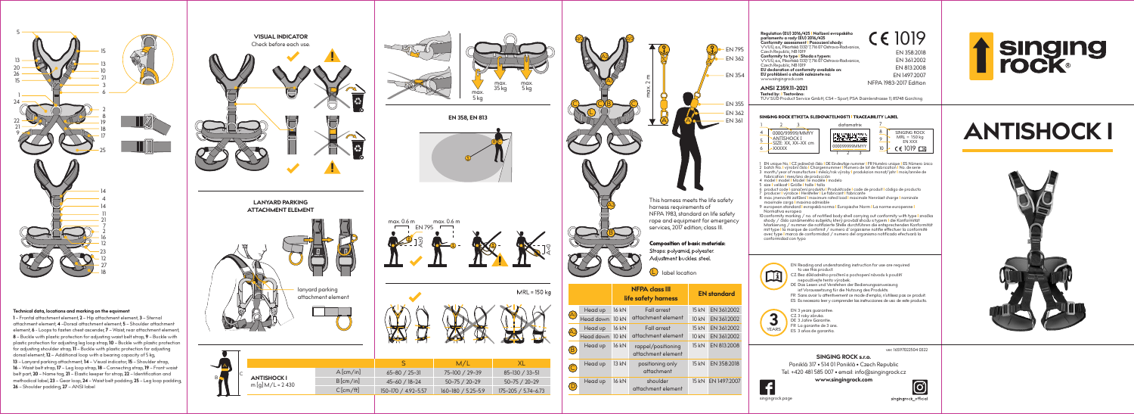singingrock.page



# **singing<br>rock®**

| п<br>max.<br>max.<br>35 kg<br>5 kg<br>max.<br>$5$ kg |  |  |  |  |  |  |
|------------------------------------------------------|--|--|--|--|--|--|
| EN 358, EN 813                                       |  |  |  |  |  |  |

# 1019

EN 358:2018 EN 361:2002 NFPA 1983-2017 Edition EN 1497:2007 EN 813:2008

#### TA SLEDOVATELNOSTI I TRACEABILITY LABEL



# **ANTISHOCK I**







|  |                                         |             |                     | M/L                 |                     |
|--|-----------------------------------------|-------------|---------------------|---------------------|---------------------|
|  | <b>ANTISHOCK I</b><br>$m[q] M/L = 2430$ | $A$ [cm/in] | $65 - 80 / 25 - 31$ | 75-100 / 29-39      | 85-130 / 33-51      |
|  |                                         | B[cm/in]    | 45-60 / 18-24       | $50 - 75 / 20 - 29$ | $50 - 75 / 20 - 29$ |
|  |                                         | $C$ [cm/ft] | 150-170 / 4.92-5.57 | 160-180 / 5.25-5.9  | 175-205 / 5.74-6.73 |
|  |                                         |             |                     |                     |                     |

| <b>EN 795</b><br><b>EN 362</b><br><b>EN 354</b><br>max. 2m<br><b>EN 355</b><br><b>EN 362</b><br><b>EN 361</b><br>This harness meets the life safety<br>harness requirements of<br>NFPA 1983, standard on life safety<br>rope and equipment for emergency<br>services, 2017 edition; class III. |                 |       |                                              | Composition of basic materials:<br>Straps: polyamid, polyester. | Regulation (EU) 2016/425   Nařízení evropského<br><b>CE 1019</b><br>parlamentu a rady (ÉU) 2016/425<br>Conformity assessment   Posouzení shody:<br>VVUÚ, a.s., Pikartská 1337/7, 716 07 Ostrava-Radvanice,<br>EN 358:20<br>Czech Republic, NB 1019<br>Conformity to type I Shoda s typem:<br>VVUÚ, a.s., Pikartská 1337/7, 716 07 Ostrava-Radvanice,<br>EN 361:20<br>Czech Republic, NB 1019<br>EN 813:200<br>EU declaration of conformity available on:<br>EU prohlášení o shodě naleznete na:<br>EN 1497:20<br>www.singingrock.com<br>NFPA 1983-2017 Editio<br>ANSI Z359.11-2021<br>Tested by:   Testováno:<br>TÜV SÜD Product Service GmbH, CS4 - Sport, PSA Daimlerstrasse 11, 85748 Garching<br>SINGING ROCK ETIKETA SLEDOVATELNOSTI I TRACEABILITY LABEL<br>2<br>1<br>3<br>datamatrix<br>8<br>SINGING ROO<br>4<br>0000/99999/MMYY<br>$MRL = 150 k$<br><b>ANTISHOCK I</b><br>9<br>5<br>EN XXX<br>SIZE: XX, XX-XX cm<br>000099999MMYY<br>10<br>CE 1019 E<br>6<br><b>XXXXX</b><br>3<br>C<br>1 EN unique No. I CZ jedinečné číslo I DE Eindeutige nummer I FR Numéro unique I ES Númer<br>batch No. I výrobní číslo I Chargennummer I Numero de lot de fabrication I No. de serie month/year of manufacture I mésic/rok výroby I produkzion monat/jahr I mois/année<br>3<br>fabrication I mes/ano de producción<br>4 model   model   Model   le modéle   modelo<br>size I velikost I Größe I taille I talla<br>5<br>product code l označení produktv l Produktcode l code de produit l código de producto<br>6<br>producer I výrobce I Hersteller I Le fabricant I fabricante<br>max. jmenovité zatížení I maximum rated load I maximale Nennlast charge I nominale<br>8<br>maximale carga l maxima admisible<br>9 european standard levropská norma lEuropische Norm I La norme europenne l<br>Normativa europea<br>10 conformity marking / no. of notified body shell carrying out conformity with type I z<br>shody / číslo oznámeného subjektu, který provádí shodu s typem I die Konformität<br>Markierung / nummer die notifizierte Stelle durchführen die entsprechenden Konfo<br>mit type I la marque de confirmit / numero d´organisme notifie effectuer la conforr<br>avec type I marca de conformidad / numero del organismo notificado efectuará la<br>conformidad con typo |                                                                                                                                                                                                                                                                                             |
|------------------------------------------------------------------------------------------------------------------------------------------------------------------------------------------------------------------------------------------------------------------------------------------------|-----------------|-------|----------------------------------------------|-----------------------------------------------------------------|-------------------------------------------------------------------------------------------------------------------------------------------------------------------------------------------------------------------------------------------------------------------------------------------------------------------------------------------------------------------------------------------------------------------------------------------------------------------------------------------------------------------------------------------------------------------------------------------------------------------------------------------------------------------------------------------------------------------------------------------------------------------------------------------------------------------------------------------------------------------------------------------------------------------------------------------------------------------------------------------------------------------------------------------------------------------------------------------------------------------------------------------------------------------------------------------------------------------------------------------------------------------------------------------------------------------------------------------------------------------------------------------------------------------------------------------------------------------------------------------------------------------------------------------------------------------------------------------------------------------------------------------------------------------------------------------------------------------------------------------------------------------------------------------------------------------------------------------------------------------------------------------------------------------------------------------------------------------------------------------------------------------------------------------------------------------------------------------------------------------------------------------------------------------------------------------------------------------------------------------------------------------------------------------|---------------------------------------------------------------------------------------------------------------------------------------------------------------------------------------------------------------------------------------------------------------------------------------------|
|                                                                                                                                                                                                                                                                                                |                 |       | Adjustment buckles: steel.<br>label location |                                                                 |                                                                                                                                                                                                                                                                                                                                                                                                                                                                                                                                                                                                                                                                                                                                                                                                                                                                                                                                                                                                                                                                                                                                                                                                                                                                                                                                                                                                                                                                                                                                                                                                                                                                                                                                                                                                                                                                                                                                                                                                                                                                                                                                                                                                                                                                                           | EN Reading and understanding instruction for use are required<br>to use this product.<br>CZ Bez důkladného pročtení a pochopení návodu k použití                                                                                                                                            |
|                                                                                                                                                                                                                                                                                                |                 |       | <b>NFPA class III</b><br>life safety harness |                                                                 | <b>EN standard</b>                                                                                                                                                                                                                                                                                                                                                                                                                                                                                                                                                                                                                                                                                                                                                                                                                                                                                                                                                                                                                                                                                                                                                                                                                                                                                                                                                                                                                                                                                                                                                                                                                                                                                                                                                                                                                                                                                                                                                                                                                                                                                                                                                                                                                                                                        | nepoužívejte tento výrobek.<br>DE Das Lesen und Verstehen der Bedienungsanweisung<br>ist Voraussetzung für die Nutzung des Produkts.<br>FR Sans avoir lu attentivement ce mode d'emploi, n'utilisez pas ce prod<br>ES Es necesario leer y comprender las instrucciones de uso de este produ |
|                                                                                                                                                                                                                                                                                                | Head up         | 16 kN | <b>Fall arrest</b>                           | 15kN                                                            | EN 361:2002                                                                                                                                                                                                                                                                                                                                                                                                                                                                                                                                                                                                                                                                                                                                                                                                                                                                                                                                                                                                                                                                                                                                                                                                                                                                                                                                                                                                                                                                                                                                                                                                                                                                                                                                                                                                                                                                                                                                                                                                                                                                                                                                                                                                                                                                               | EN 3 years guarantee.                                                                                                                                                                                                                                                                       |
|                                                                                                                                                                                                                                                                                                | Head down 10 kN |       | attachment element                           | 10 kN                                                           | EN 361:2002                                                                                                                                                                                                                                                                                                                                                                                                                                                                                                                                                                                                                                                                                                                                                                                                                                                                                                                                                                                                                                                                                                                                                                                                                                                                                                                                                                                                                                                                                                                                                                                                                                                                                                                                                                                                                                                                                                                                                                                                                                                                                                                                                                                                                                                                               | CZ 3 roky záruka.<br>DE 3 Jahre Garantie.                                                                                                                                                                                                                                                   |
|                                                                                                                                                                                                                                                                                                | Head up         | 16 kN | <b>Fall arrest</b>                           | 15 kN                                                           | EN 361:2002                                                                                                                                                                                                                                                                                                                                                                                                                                                                                                                                                                                                                                                                                                                                                                                                                                                                                                                                                                                                                                                                                                                                                                                                                                                                                                                                                                                                                                                                                                                                                                                                                                                                                                                                                                                                                                                                                                                                                                                                                                                                                                                                                                                                                                                                               | FR La garantie de 3 ans.<br><b>YEARS</b><br>ES 3 años de garantia.                                                                                                                                                                                                                          |
|                                                                                                                                                                                                                                                                                                | Head down 10 kN |       | attachment element                           | 10 kN                                                           | EN 361:2002                                                                                                                                                                                                                                                                                                                                                                                                                                                                                                                                                                                                                                                                                                                                                                                                                                                                                                                                                                                                                                                                                                                                                                                                                                                                                                                                                                                                                                                                                                                                                                                                                                                                                                                                                                                                                                                                                                                                                                                                                                                                                                                                                                                                                                                                               |                                                                                                                                                                                                                                                                                             |
| B                                                                                                                                                                                                                                                                                              | Head up         | 16 kN | rappel/positioning<br>attachment element     | 15 kN                                                           | EN 813:2008                                                                                                                                                                                                                                                                                                                                                                                                                                                                                                                                                                                                                                                                                                                                                                                                                                                                                                                                                                                                                                                                                                                                                                                                                                                                                                                                                                                                                                                                                                                                                                                                                                                                                                                                                                                                                                                                                                                                                                                                                                                                                                                                                                                                                                                                               | ver. 16S97022504 0<br><b>SINGING ROCK s.r.o.</b>                                                                                                                                                                                                                                            |
|                                                                                                                                                                                                                                                                                                | Head up         | 13 kN | positioning only<br>attachment               | 15 kN                                                           | EN 358:2018                                                                                                                                                                                                                                                                                                                                                                                                                                                                                                                                                                                                                                                                                                                                                                                                                                                                                                                                                                                                                                                                                                                                                                                                                                                                                                                                                                                                                                                                                                                                                                                                                                                                                                                                                                                                                                                                                                                                                                                                                                                                                                                                                                                                                                                                               | Poniklá 317 · 514 01 Poniklá · Czech Republic<br>Tel. +420 481 585 007 · email: info@singingrock.cz                                                                                                                                                                                         |
| $\overline{\mathbb{D}}$                                                                                                                                                                                                                                                                        | Head up         | 16 kN | shoulder<br>attachment element               |                                                                 | 15 kN EN 1497:2007                                                                                                                                                                                                                                                                                                                                                                                                                                                                                                                                                                                                                                                                                                                                                                                                                                                                                                                                                                                                                                                                                                                                                                                                                                                                                                                                                                                                                                                                                                                                                                                                                                                                                                                                                                                                                                                                                                                                                                                                                                                                                                                                                                                                                                                                        | www.singingrock.com<br>C                                                                                                                                                                                                                                                                    |

**1** – Frontal attachment element, **2** – Hip attachment element, **3** – Sternal attachment element, **4** –Dorsal attachment element, **5** – Shoulder attachment element, **6** - Loops to fasten chest ascender, **7** – Waist, rear attachment element, **8** – Buckle with plastic protection for adjusting waist belt strap, **9** – Buckle with plastic protection for adjusting leg loop strap, **10** – Buckle with plastic protection for adjusting shoulder strap, **11** – Buckle with plastic protection for adjusting dorsal element, **12** – Additional loop with a bearing capacity of 5 kg, **13** – Lanyard parking attachment, **14** – Visual indicator, **15** – Shoulder strap, **16** – Waist belt strap, **17** – Leg loop strap, **18** – Connecting strap, **19** – Front waist belt part, **20** – Name tag, **21** – Elastic keeper for strap, **22** – Identification and methodical label, **23** – Gear loop, **24** – Waist belt padding, **25** – Leg loop padding, **26** – Shoulder padding, **27** – ANSI label

B.

B C



#### **Technical data, locations and marking on the equiment**

FR Sans avoir lu attentivement ce mode d'emploi, n'utilisez pas ce produit. necesario leer y comprender las instrucciones de uso de este producto.

ver. 16S97022504 0322

**VISUAL INDICATOR**



2 batch No. **I** výrobní číslo **I** Chargennummer **I** Numero de lot de fabrication **I** No. de serie 1 EN unique No. **I** CZ jedinečné číslo **I** DE Eindeutige nummer **I** FR Numéro unique **I** ES Número único 3 month/year of manufacture **I** měsíc/rok výroby **I** produkzion monat/jahr **I** mois/année de

10 conformity marking / no. of notified body shell carrying out conformity with type **I** značka shody / číslo oznámeného subjektu, který provádí shodu s typem **I** die Konformität erleho sobjekto, ktery provaal shous strypenn vale nomenmer.<br>er die notifizierte Stelle durchführen die entsprechenden Konformität mit type **I** la marque de confirmit / numero d´organisme notifie effectuer la conformité avec type **I** marca de conformidad / numero del organismo notificado efectuará la